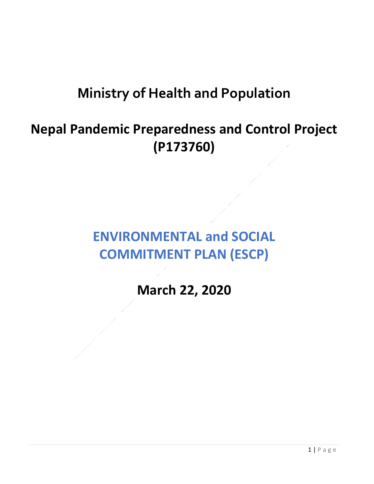# **Ministry of Health and Population**

# **Nepal Pandemic Preparedness and Control Project (P173760)**

## **ENVIRONMENTAL and SOCIAL COMMITMENT PLAN (ESCP)**

### **March 22, 2020**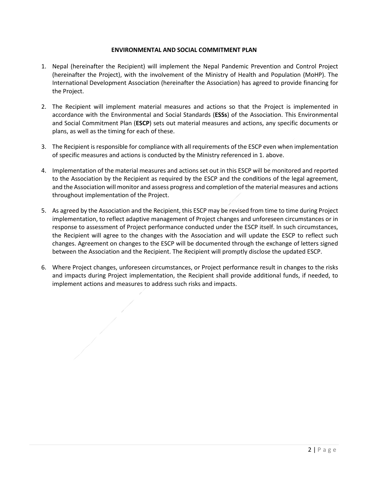#### **ENVIRONMENTAL AND SOCIAL COMMITMENT PLAN**

- 1. Nepal (hereinafter the Recipient) will implement the Nepal Pandemic Prevention and Control Project (hereinafter the Project), with the involvement of the Ministry of Health and Population (MoHP). The International Development Association (hereinafter the Association) has agreed to provide financing for the Project.
- 2. The Recipient will implement material measures and actions so that the Project is implemented in accordance with the Environmental and Social Standards (**ESSs**) of the Association. This Environmental and Social Commitment Plan (**ESCP**) sets out material measures and actions, any specific documents or plans, as well as the timing for each of these.
- 3. The Recipient is responsible for compliance with all requirements of the ESCP even when implementation of specific measures and actions is conducted by the Ministry referenced in 1. above.
- 4. Implementation of the material measures and actions set out in this ESCP will be monitored and reported to the Association by the Recipient as required by the ESCP and the conditions of the legal agreement, and the Association will monitor and assess progress and completion of the material measures and actions throughout implementation of the Project.
- 5. As agreed by the Association and the Recipient, this ESCP may be revised from time to time during Project implementation, to reflect adaptive management of Project changes and unforeseen circumstances or in response to assessment of Project performance conducted under the ESCP itself. In such circumstances, the Recipient will agree to the changes with the Association and will update the ESCP to reflect such changes. Agreement on changes to the ESCP will be documented through the exchange of letters signed between the Association and the Recipient. The Recipient will promptly disclose the updated ESCP.
- 6. Where Project changes, unforeseen circumstances, or Project performance result in changes to the risks and impacts during Project implementation, the Recipient shall provide additional funds, if needed, to implement actions and measures to address such risks and impacts.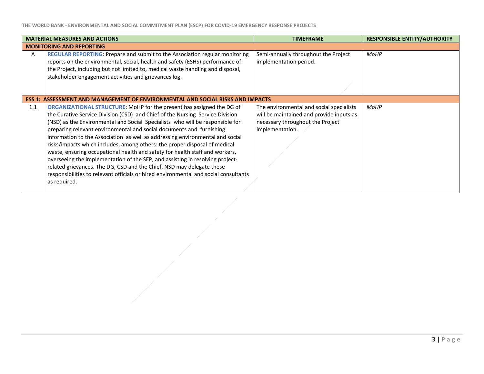|                                 | <b>MATERIAL MEASURES AND ACTIONS</b>                                                 | <b>TIMEFRAME</b>                         | <b>RESPONSIBLE ENTITY/AUTHORITY</b> |
|---------------------------------|--------------------------------------------------------------------------------------|------------------------------------------|-------------------------------------|
| <b>MONITORING AND REPORTING</b> |                                                                                      |                                          |                                     |
| A                               | <b>REGULAR REPORTING: Prepare and submit to the Association regular monitoring</b>   | Semi-annually throughout the Project     | <b>MoHP</b>                         |
|                                 | reports on the environmental, social, health and safety (ESHS) performance of        | implementation period.                   |                                     |
|                                 | the Project, including but not limited to, medical waste handling and disposal,      |                                          |                                     |
|                                 | stakeholder engagement activities and grievances log.                                |                                          |                                     |
|                                 |                                                                                      |                                          |                                     |
|                                 |                                                                                      |                                          |                                     |
|                                 | ESS 1: ASSESSMENT AND MANAGEMENT OF ENVIRONMENTAL AND SOCIAL RISKS AND IMPACTS       |                                          |                                     |
| 1.1                             | ORGANIZATIONAL STRUCTURE: MoHP for the present has assigned the DG of                | The environmental and social specialists | <b>MoHP</b>                         |
|                                 | the Curative Service Division (CSD) and Chief of the Nursing Service Division        | will be maintained and provide inputs as |                                     |
|                                 | (NSD) as the Environmental and Social Specialists who will be responsible for        | necessary throughout the Project         |                                     |
|                                 | preparing relevant environmental and social documents and furnishing                 | implementation.                          |                                     |
|                                 | information to the Association as well as addressing environmental and social        |                                          |                                     |
|                                 | risks/impacts which includes, among others: the proper disposal of medical           |                                          |                                     |
|                                 | waste, ensuring occupational health and safety for health staff and workers,         |                                          |                                     |
|                                 | overseeing the implementation of the SEP, and assisting in resolving project-        |                                          |                                     |
|                                 | related grievances. The DG, CSD and the Chief, NSD may delegate these                |                                          |                                     |
|                                 | responsibilities to relevant officials or hired environmental and social consultants |                                          |                                     |
|                                 | as required.                                                                         |                                          |                                     |
|                                 |                                                                                      |                                          |                                     |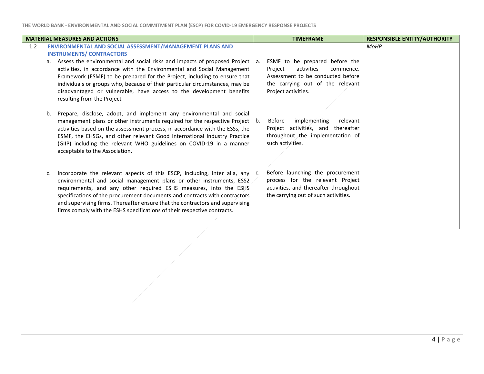|     | <b>MATERIAL MEASURES AND ACTIONS</b>                                                                                                                                                                                                                                                                                                                                                                                                                                                                                         |    | <b>TIMEFRAME</b>                                                                                                                                                     | <b>RESPONSIBLE ENTITY/AUTHORITY</b> |
|-----|------------------------------------------------------------------------------------------------------------------------------------------------------------------------------------------------------------------------------------------------------------------------------------------------------------------------------------------------------------------------------------------------------------------------------------------------------------------------------------------------------------------------------|----|----------------------------------------------------------------------------------------------------------------------------------------------------------------------|-------------------------------------|
| 1.2 | ENVIRONMENTAL AND SOCIAL ASSESSMENT/MANAGEMENT PLANS AND<br><b>INSTRUMENTS/ CONTRACTORS</b><br>Assess the environmental and social risks and impacts of proposed Project<br>a.<br>activities, in accordance with the Environmental and Social Management<br>Framework (ESMF) to be prepared for the Project, including to ensure that<br>individuals or groups who, because of their particular circumstances, may be<br>disadvantaged or vulnerable, have access to the development benefits<br>resulting from the Project. | а. | ESMF to be prepared before the<br>activities<br>Project<br>commence.<br>Assessment to be conducted before<br>the carrying out of the relevant<br>Project activities. | MoHP                                |
|     | Prepare, disclose, adopt, and implement any environmental and social<br>b.<br>management plans or other instruments required for the respective Project<br>activities based on the assessment process, in accordance with the ESSs, the<br>ESMF, the EHSGs, and other relevant Good International Industry Practice<br>(GIIP) including the relevant WHO guidelines on COVID-19 in a manner<br>acceptable to the Association.                                                                                                | b. | implementing<br>relevant<br>Before<br>Project activities, and thereafter<br>throughout the implementation of<br>such activities.                                     |                                     |
|     | Incorporate the relevant aspects of this ESCP, including, inter alia, any<br>c.<br>environmental and social management plans or other instruments, ESS2<br>requirements, and any other required ESHS measures, into the ESHS<br>specifications of the procurement documents and contracts with contractors<br>and supervising firms. Thereafter ensure that the contractors and supervising<br>firms comply with the ESHS specifications of their respective contracts.                                                      | C. | Before launching the procurement<br>process for the relevant Project<br>activities, and thereafter throughout<br>the carrying out of such activities.                |                                     |

-1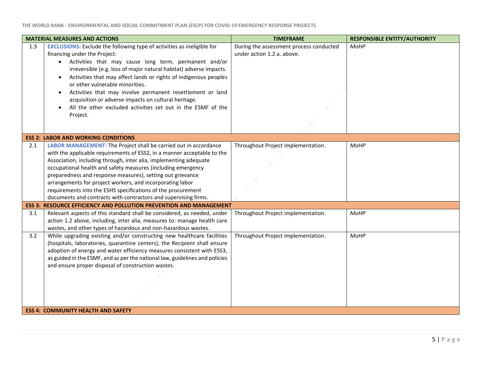|     | <b>MATERIAL MEASURES AND ACTIONS</b>                                                                                                                | <b>TIMEFRAME</b>                        | <b>RESPONSIBLE ENTITY/AUTHORITY</b> |
|-----|-----------------------------------------------------------------------------------------------------------------------------------------------------|-----------------------------------------|-------------------------------------|
| 1.3 | <b>EXCLUSIONS:</b> Exclude the following type of activities as ineligible for                                                                       | During the assessment process conducted | <b>MoHP</b>                         |
|     | financing under the Project:                                                                                                                        | under action 1.2.a. above.              |                                     |
|     | • Activities that may cause long term, permanent and/or                                                                                             |                                         |                                     |
|     | irreversible (e.g. loss of major natural habitat) adverse impacts.<br>Activities that may affect lands or rights of indigenous peoples              |                                         |                                     |
|     | $\bullet$<br>or other vulnerable minorities.                                                                                                        |                                         |                                     |
|     | Activities that may involve permanent resettlement or land<br>$\bullet$                                                                             |                                         |                                     |
|     | acquisition or adverse impacts on cultural heritage.                                                                                                |                                         |                                     |
|     | All the other excluded activities set out in the ESMF of the                                                                                        |                                         |                                     |
|     | Project.                                                                                                                                            |                                         |                                     |
|     |                                                                                                                                                     |                                         |                                     |
|     |                                                                                                                                                     |                                         |                                     |
|     | <b>ESS 2: LABOR AND WORKING CONDITIONS</b>                                                                                                          |                                         |                                     |
| 2.1 | LABOR MANAGEMENT: The Project shall be carried out in accordance                                                                                    | Throughout Project implementation.      | <b>MoHP</b>                         |
|     | with the applicable requirements of ESS2, in a manner acceptable to the                                                                             |                                         |                                     |
|     | Association, including through, inter alia, implementing adequate                                                                                   |                                         |                                     |
|     | occupational health and safety measures (including emergency                                                                                        |                                         |                                     |
|     | preparedness and response measures), setting out grievance                                                                                          |                                         |                                     |
|     | arrangements for project workers, and incorporating labor                                                                                           |                                         |                                     |
|     | requirements into the ESHS specifications of the procurement                                                                                        |                                         |                                     |
|     | documents and contracts with contractors and supervising firms.<br><b>ESS 3: RESOURCE EFFICIENCY AND POLLUTION PREVENTION AND MANAGEMENT</b>        |                                         |                                     |
|     |                                                                                                                                                     |                                         |                                     |
| 3.1 | Relevant aspects of this standard shall be considered, as needed, under<br>action 1.2 above, including, inter alia, measures to: manage health care | Throughout Project implementation.      | MoHP                                |
|     | wastes, and other types of hazardous and non-hazardous wastes.                                                                                      |                                         |                                     |
| 3.2 | While upgrading existing and/or constructing new healthcare facilities                                                                              | Throughout Project implementation.      | MoHP                                |
|     | (hospitals, laboratories, quarantine centers), the Recipient shall ensure                                                                           |                                         |                                     |
|     | adoption of energy and water efficiency measures consistent with ESS3,                                                                              |                                         |                                     |
|     | as guided in the ESMF, and as per the national law, guidelines and policies                                                                         |                                         |                                     |
|     | and ensure proper disposal of construction wastes.                                                                                                  |                                         |                                     |
|     |                                                                                                                                                     |                                         |                                     |
|     |                                                                                                                                                     |                                         |                                     |
|     |                                                                                                                                                     |                                         |                                     |
|     |                                                                                                                                                     |                                         |                                     |
|     |                                                                                                                                                     |                                         |                                     |
|     | <b>ESS 4: COMMUNITY HEALTH AND SAFETY</b>                                                                                                           |                                         |                                     |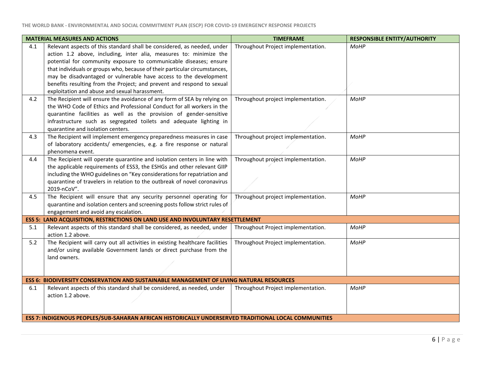|     | <b>MATERIAL MEASURES AND ACTIONS</b>                                                                                                                                                                                                                                                                                                                                                                                                                                                             | <b>TIMEFRAME</b>                   | <b>RESPONSIBLE ENTITY/AUTHORITY</b> |
|-----|--------------------------------------------------------------------------------------------------------------------------------------------------------------------------------------------------------------------------------------------------------------------------------------------------------------------------------------------------------------------------------------------------------------------------------------------------------------------------------------------------|------------------------------------|-------------------------------------|
| 4.1 | Relevant aspects of this standard shall be considered, as needed, under<br>action 1.2 above, including, inter alia, measures to: minimize the<br>potential for community exposure to communicable diseases; ensure<br>that individuals or groups who, because of their particular circumstances,<br>may be disadvantaged or vulnerable have access to the development<br>benefits resulting from the Project; and prevent and respond to sexual<br>exploitation and abuse and sexual harassment. | Throughout Project implementation. | MoHP                                |
| 4.2 | The Recipient will ensure the avoidance of any form of SEA by relying on<br>the WHO Code of Ethics and Professional Conduct for all workers in the<br>quarantine facilities as well as the provision of gender-sensitive<br>infrastructure such as segregated toilets and adequate lighting in<br>quarantine and isolation centers.                                                                                                                                                              | Throughout project implementation. | <b>MoHP</b>                         |
| 4.3 | The Recipient will implement emergency preparedness measures in case<br>of laboratory accidents/ emergencies, e.g. a fire response or natural<br>phenomena event.                                                                                                                                                                                                                                                                                                                                | Throughout project implementation. | MoHP                                |
| 4.4 | The Recipient will operate quarantine and isolation centers in line with<br>the applicable requirements of ESS3, the ESHGs and other relevant GIIP<br>including the WHO guidelines on "Key considerations for repatriation and<br>quarantine of travelers in relation to the outbreak of novel coronavirus<br>2019-nCoV".                                                                                                                                                                        | Throughout project implementation. | <b>MoHP</b>                         |
| 4.5 | The Recipient will ensure that any security personnel operating for<br>quarantine and isolation centers and screening posts follow strict rules of<br>engagement and avoid any escalation.                                                                                                                                                                                                                                                                                                       | Throughout project implementation. | MoHP                                |
|     | ESS 5: LAND ACQUISITION, RESTRICTIONS ON LAND USE AND INVOLUNTARY RESETTLEMENT                                                                                                                                                                                                                                                                                                                                                                                                                   |                                    |                                     |
| 5.1 | Relevant aspects of this standard shall be considered, as needed, under<br>action 1.2 above.                                                                                                                                                                                                                                                                                                                                                                                                     | Throughout Project implementation. | MoHP                                |
| 5.2 | The Recipient will carry out all activities in existing healthcare facilities<br>and/or using available Government lands or direct purchase from the<br>land owners.                                                                                                                                                                                                                                                                                                                             | Throughout Project implementation. | <b>MoHP</b>                         |
|     | <b>ESS 6: BIODIVERSITY CONSERVATION AND SUSTAINABLE MANAGEMENT OF LIVING NATURAL RESOURCES</b>                                                                                                                                                                                                                                                                                                                                                                                                   |                                    |                                     |
| 6.1 | Relevant aspects of this standard shall be considered, as needed, under<br>action 1.2 above.                                                                                                                                                                                                                                                                                                                                                                                                     | Throughout Project implementation. | MoHP                                |
|     | ESS 7: INDIGENOUS PEOPLES/SUB-SAHARAN AFRICAN HISTORICALLY UNDERSERVED TRADITIONAL LOCAL COMMUNITIES                                                                                                                                                                                                                                                                                                                                                                                             |                                    |                                     |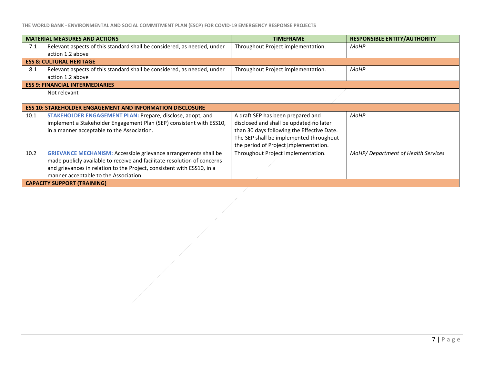**THE WORLD BANK - ENVIRONMENTAL AND SOCIAL COMMITMENT PLAN (ESCP) FOR COVID-19 EMERGENCY RESPONSE PROJECTS**

|                                        | <b>MATERIAL MEASURES AND ACTIONS</b>                                     | <b>TIMEFRAME</b>                           | <b>RESPONSIBLE ENTITY/AUTHORITY</b> |  |
|----------------------------------------|--------------------------------------------------------------------------|--------------------------------------------|-------------------------------------|--|
| 7.1                                    | Relevant aspects of this standard shall be considered, as needed, under  | Throughout Project implementation.         | MoHP                                |  |
|                                        | action 1.2 above                                                         |                                            |                                     |  |
|                                        | <b>ESS 8: CULTURAL HERITAGE</b>                                          |                                            |                                     |  |
| 8.1                                    | Relevant aspects of this standard shall be considered, as needed, under  | Throughout Project implementation.         | <b>MoHP</b>                         |  |
|                                        | action 1.2 above                                                         |                                            |                                     |  |
| <b>ESS 9: FINANCIAL INTERMEDIARIES</b> |                                                                          |                                            |                                     |  |
|                                        | Not relevant                                                             |                                            |                                     |  |
|                                        |                                                                          |                                            |                                     |  |
|                                        | <b>ESS 10: STAKEHOLDER ENGAGEMENT AND INFORMATION DISCLOSURE</b>         |                                            |                                     |  |
| 10.1                                   | STAKEHOLDER ENGAGEMENT PLAN: Prepare, disclose, adopt, and               | A draft SEP has been prepared and          | <b>MoHP</b>                         |  |
|                                        | implement a Stakeholder Engagement Plan (SEP) consistent with ESS10,     | disclosed and shall be updated no later    |                                     |  |
|                                        | in a manner acceptable to the Association.                               | than 30 days following the Effective Date. |                                     |  |
|                                        |                                                                          | The SEP shall be implemented throughout    |                                     |  |
|                                        |                                                                          | the period of Project implementation.      |                                     |  |
| 10.2                                   | <b>GRIEVANCE MECHANISM: Accessible grievance arrangements shall be</b>   | Throughout Project implementation.         | MoHP/Department of Health Services  |  |
|                                        | made publicly available to receive and facilitate resolution of concerns |                                            |                                     |  |
|                                        | and grievances in relation to the Project, consistent with ESS10, in a   |                                            |                                     |  |
|                                        | manner acceptable to the Association.                                    |                                            |                                     |  |
| <b>CAPACITY SUPPORT (TRAINING)</b>     |                                                                          |                                            |                                     |  |